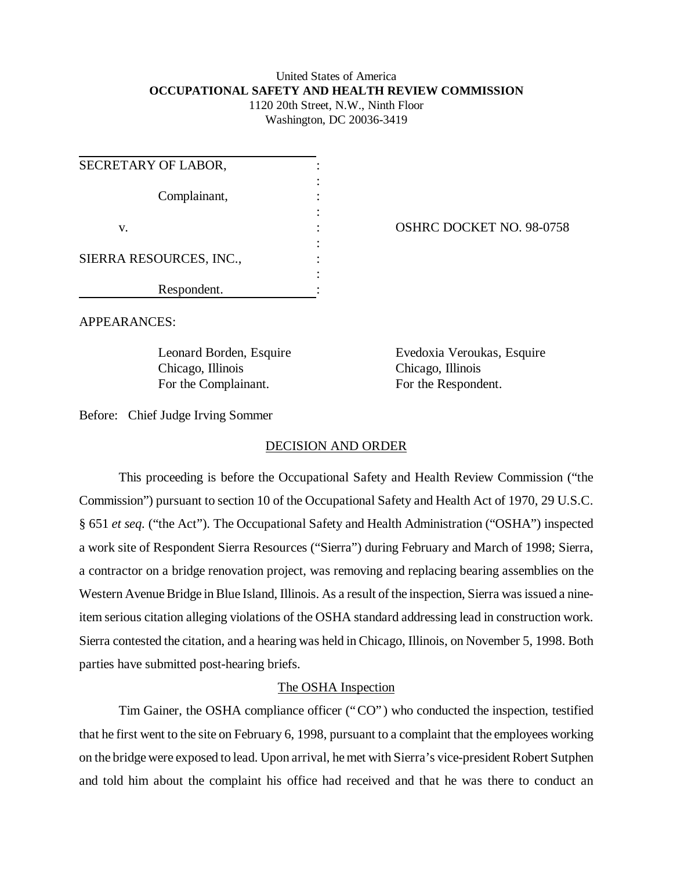## United States of America **OCCUPATIONAL SAFETY AND HEALTH REVIEW COMMISSION** 1120 20th Street, N.W., Ninth Floor

Washington, DC 20036-3419

| SECRETARY OF LABOR,     |  |
|-------------------------|--|
| Complainant,            |  |
| V.                      |  |
| SIERRA RESOURCES, INC., |  |
| Respondent.             |  |

OSHRC DOCKET NO. 98-0758

APPEARANCES:

Chicago, Illinois Chicago, Illinois For the Complainant. For the Respondent.

Leonard Borden, Esquire Evedoxia Veroukas, Esquire

Before: Chief Judge Irving Sommer

### DECISION AND ORDER

This proceeding is before the Occupational Safety and Health Review Commission ("the Commission") pursuant to section 10 of the Occupational Safety and Health Act of 1970, 29 U.S.C. § 651 *et seq.* ("the Act"). The Occupational Safety and Health Administration ("OSHA") inspected a work site of Respondent Sierra Resources ("Sierra") during February and March of 1998; Sierra, a contractor on a bridge renovation project, was removing and replacing bearing assemblies on the Western Avenue Bridge in Blue Island, Illinois. As a result of the inspection, Sierra was issued a nineitem serious citation alleging violations of the OSHA standard addressing lead in construction work. Sierra contested the citation, and a hearing was held in Chicago, Illinois, on November 5, 1998. Both parties have submitted post-hearing briefs.

# The OSHA Inspection

Tim Gainer, the OSHA compliance officer ("CO") who conducted the inspection, testified that he first went to the site on February 6, 1998, pursuant to a complaint that the employees working on the bridge were exposed to lead. Upon arrival, he met with Sierra's vice-president Robert Sutphen and told him about the complaint his office had received and that he was there to conduct an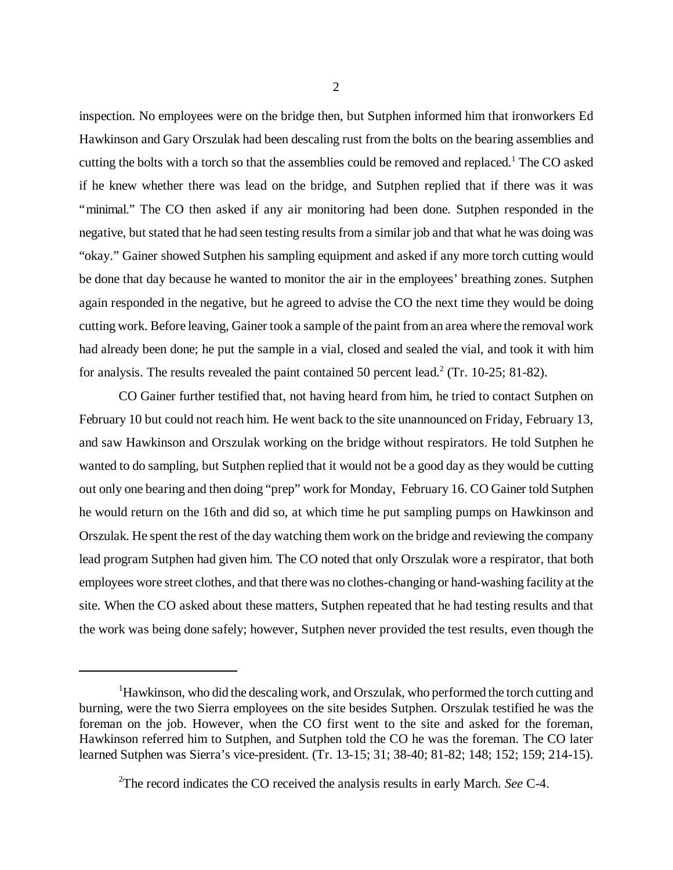inspection. No employees were on the bridge then, but Sutphen informed him that ironworkers Ed Hawkinson and Gary Orszulak had been descaling rust from the bolts on the bearing assemblies and cutting the bolts with a torch so that the assemblies could be removed and replaced.<sup>1</sup> The CO asked if he knew whether there was lead on the bridge, and Sutphen replied that if there was it was "minimal." The CO then asked if any air monitoring had been done. Sutphen responded in the negative, but stated that he had seen testing results from a similar job and that what he was doing was "okay." Gainer showed Sutphen his sampling equipment and asked if any more torch cutting would be done that day because he wanted to monitor the air in the employees' breathing zones. Sutphen again responded in the negative, but he agreed to advise the CO the next time they would be doing cutting work. Before leaving, Gainer took a sample of the paint from an area where the removal work had already been done; he put the sample in a vial, closed and sealed the vial, and took it with him for analysis. The results revealed the paint contained 50 percent lead.<sup>2</sup> (Tr. 10-25; 81-82).

CO Gainer further testified that, not having heard from him, he tried to contact Sutphen on February 10 but could not reach him. He went back to the site unannounced on Friday, February 13, and saw Hawkinson and Orszulak working on the bridge without respirators. He told Sutphen he wanted to do sampling, but Sutphen replied that it would not be a good day as they would be cutting out only one bearing and then doing "prep" work for Monday, February 16. CO Gainer told Sutphen he would return on the 16th and did so, at which time he put sampling pumps on Hawkinson and Orszulak. He spent the rest of the day watching them work on the bridge and reviewing the company lead program Sutphen had given him. The CO noted that only Orszulak wore a respirator, that both employees wore street clothes, and that there was no clothes-changing or hand-washing facility at the site. When the CO asked about these matters, Sutphen repeated that he had testing results and that the work was being done safely; however, Sutphen never provided the test results, even though the

<sup>&</sup>lt;sup>1</sup>Hawkinson, who did the descaling work, and Orszulak, who performed the torch cutting and burning, were the two Sierra employees on the site besides Sutphen. Orszulak testified he was the foreman on the job. However, when the CO first went to the site and asked for the foreman, Hawkinson referred him to Sutphen, and Sutphen told the CO he was the foreman. The CO later learned Sutphen was Sierra's vice-president. (Tr. 13-15; 31; 38-40; 81-82; 148; 152; 159; 214-15).

<sup>2</sup>The record indicates the CO received the analysis results in early March. *See* C-4.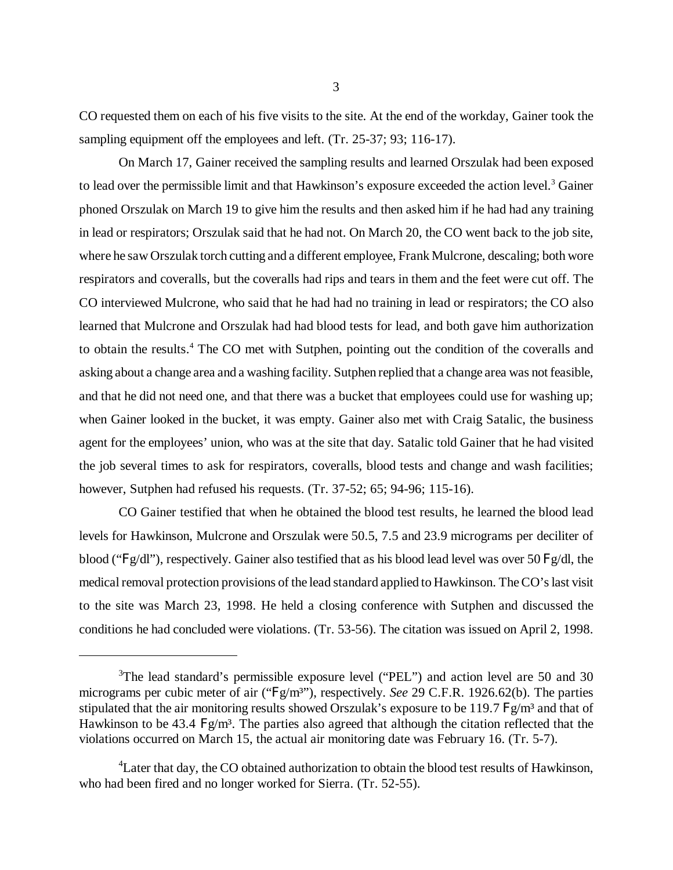CO requested them on each of his five visits to the site. At the end of the workday, Gainer took the sampling equipment off the employees and left. (Tr. 25-37; 93; 116-17).

On March 17, Gainer received the sampling results and learned Orszulak had been exposed to lead over the permissible limit and that Hawkinson's exposure exceeded the action level.<sup>3</sup> Gainer phoned Orszulak on March 19 to give him the results and then asked him if he had had any training in lead or respirators; Orszulak said that he had not. On March 20, the CO went back to the job site, where he saw Orszulak torch cutting and a different employee, Frank Mulcrone, descaling; both wore respirators and coveralls, but the coveralls had rips and tears in them and the feet were cut off. The CO interviewed Mulcrone, who said that he had had no training in lead or respirators; the CO also learned that Mulcrone and Orszulak had had blood tests for lead, and both gave him authorization to obtain the results.<sup>4</sup> The CO met with Sutphen, pointing out the condition of the coveralls and asking about a change area and a washing facility. Sutphen replied that a change area was not feasible, and that he did not need one, and that there was a bucket that employees could use for washing up; when Gainer looked in the bucket, it was empty. Gainer also met with Craig Satalic, the business agent for the employees' union, who was at the site that day. Satalic told Gainer that he had visited the job several times to ask for respirators, coveralls, blood tests and change and wash facilities; however, Sutphen had refused his requests. (Tr. 37-52; 65; 94-96; 115-16).

CO Gainer testified that when he obtained the blood test results, he learned the blood lead levels for Hawkinson, Mulcrone and Orszulak were 50.5, 7.5 and 23.9 micrograms per deciliter of blood (" $Fg/dl$ "), respectively. Gainer also testified that as his blood lead level was over 50 Fg/dl, the medical removal protection provisions of the lead standard applied to Hawkinson. The CO's last visit to the site was March 23, 1998. He held a closing conference with Sutphen and discussed the conditions he had concluded were violations. (Tr. 53-56). The citation was issued on April 2, 1998.

<sup>&</sup>lt;sup>3</sup>The lead standard's permissible exposure level ("PEL") and action level are 50 and 30 micrograms per cubic meter of air ("Fg/m<sup>3"</sup>), respectively. *See* 29 C.F.R. 1926.62(b). The parties stipulated that the air monitoring results showed Orszulak's exposure to be 119.7  $\frac{Fg}{m^3}$  and that of Hawkinson to be 43.4  $Fg/m<sup>3</sup>$ . The parties also agreed that although the citation reflected that the violations occurred on March 15, the actual air monitoring date was February 16. (Tr. 5-7).

 ${}^{4}$ Later that day, the CO obtained authorization to obtain the blood test results of Hawkinson, who had been fired and no longer worked for Sierra. (Tr. 52-55).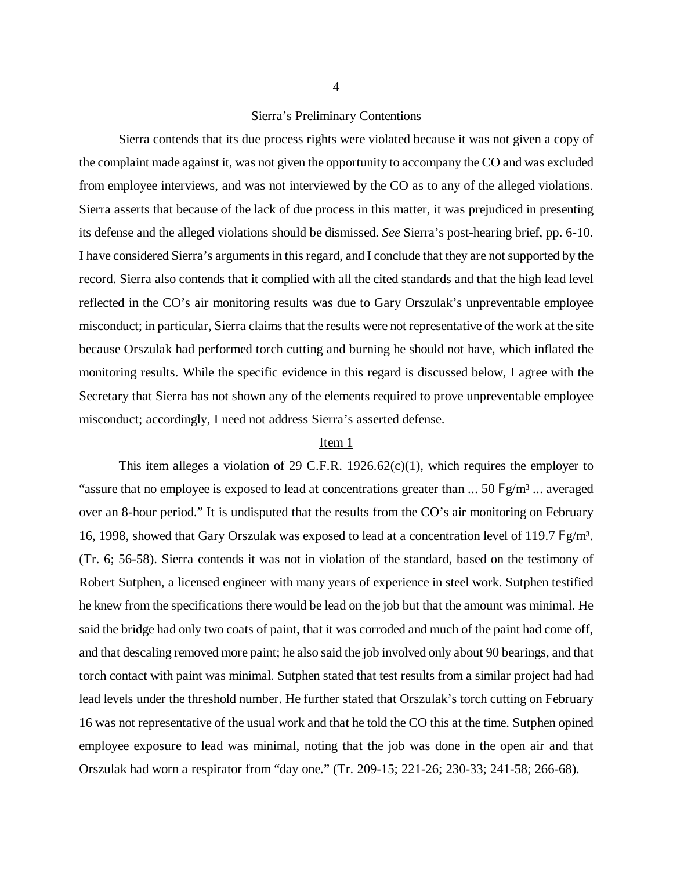### Sierra's Preliminary Contentions

Sierra contends that its due process rights were violated because it was not given a copy of the complaint made against it, was not given the opportunity to accompany the CO and was excluded from employee interviews, and was not interviewed by the CO as to any of the alleged violations. Sierra asserts that because of the lack of due process in this matter, it was prejudiced in presenting its defense and the alleged violations should be dismissed. *See* Sierra's post-hearing brief, pp. 6-10. I have considered Sierra's arguments in this regard, and I conclude that they are not supported by the record. Sierra also contends that it complied with all the cited standards and that the high lead level reflected in the CO's air monitoring results was due to Gary Orszulak's unpreventable employee misconduct; in particular, Sierra claims that the results were not representative of the work at the site because Orszulak had performed torch cutting and burning he should not have, which inflated the monitoring results. While the specific evidence in this regard is discussed below, I agree with the Secretary that Sierra has not shown any of the elements required to prove unpreventable employee misconduct; accordingly, I need not address Sierra's asserted defense.

### Item 1

This item alleges a violation of 29 C.F.R. 1926.62 $(c)(1)$ , which requires the employer to "assure that no employee is exposed to lead at concentrations greater than  $\ldots$  50 Fg/m<sup>3</sup>  $\ldots$  averaged over an 8-hour period." It is undisputed that the results from the CO's air monitoring on February 16, 1998, showed that Gary Orszulak was exposed to lead at a concentration level of 119.7 Fg/m<sup>3</sup>. (Tr. 6; 56-58). Sierra contends it was not in violation of the standard, based on the testimony of Robert Sutphen, a licensed engineer with many years of experience in steel work. Sutphen testified he knew from the specifications there would be lead on the job but that the amount was minimal. He said the bridge had only two coats of paint, that it was corroded and much of the paint had come off, and that descaling removed more paint; he also said the job involved only about 90 bearings, and that torch contact with paint was minimal. Sutphen stated that test results from a similar project had had lead levels under the threshold number. He further stated that Orszulak's torch cutting on February 16 was not representative of the usual work and that he told the CO this at the time. Sutphen opined employee exposure to lead was minimal, noting that the job was done in the open air and that Orszulak had worn a respirator from "day one." (Tr. 209-15; 221-26; 230-33; 241-58; 266-68).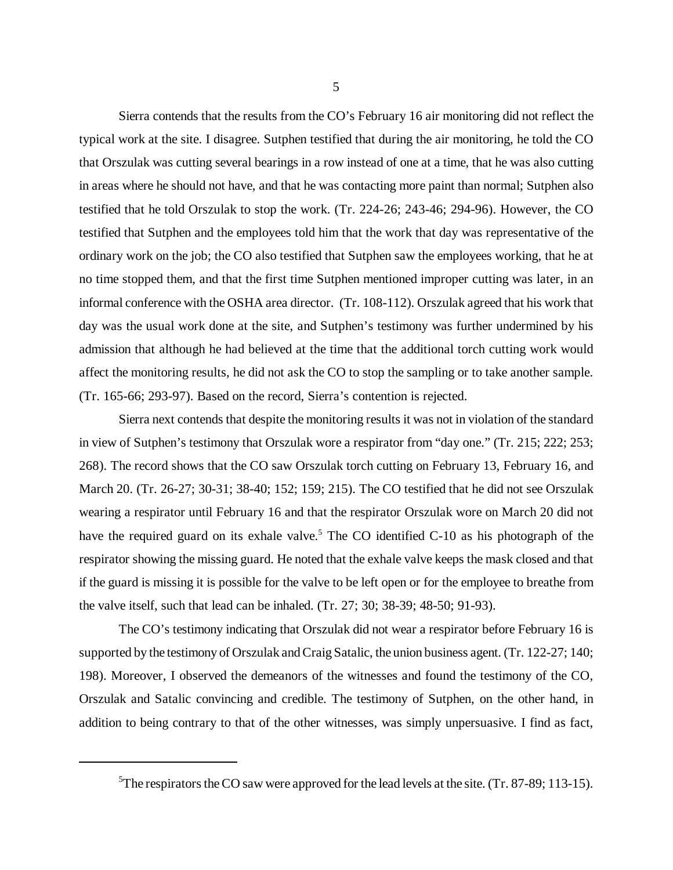Sierra contends that the results from the CO's February 16 air monitoring did not reflect the typical work at the site. I disagree. Sutphen testified that during the air monitoring, he told the CO that Orszulak was cutting several bearings in a row instead of one at a time, that he was also cutting in areas where he should not have, and that he was contacting more paint than normal; Sutphen also testified that he told Orszulak to stop the work. (Tr. 224-26; 243-46; 294-96). However, the CO testified that Sutphen and the employees told him that the work that day was representative of the ordinary work on the job; the CO also testified that Sutphen saw the employees working, that he at no time stopped them, and that the first time Sutphen mentioned improper cutting was later, in an informal conference with the OSHA area director. (Tr. 108-112). Orszulak agreed that his work that day was the usual work done at the site, and Sutphen's testimony was further undermined by his admission that although he had believed at the time that the additional torch cutting work would affect the monitoring results, he did not ask the CO to stop the sampling or to take another sample. (Tr. 165-66; 293-97). Based on the record, Sierra's contention is rejected.

Sierra next contends that despite the monitoring results it was not in violation of the standard in view of Sutphen's testimony that Orszulak wore a respirator from "day one." (Tr. 215; 222; 253; 268). The record shows that the CO saw Orszulak torch cutting on February 13, February 16, and March 20. (Tr. 26-27; 30-31; 38-40; 152; 159; 215). The CO testified that he did not see Orszulak wearing a respirator until February 16 and that the respirator Orszulak wore on March 20 did not have the required guard on its exhale valve.<sup>5</sup> The CO identified C-10 as his photograph of the respirator showing the missing guard. He noted that the exhale valve keeps the mask closed and that if the guard is missing it is possible for the valve to be left open or for the employee to breathe from the valve itself, such that lead can be inhaled. (Tr. 27; 30; 38-39; 48-50; 91-93).

The CO's testimony indicating that Orszulak did not wear a respirator before February 16 is supported by the testimony of Orszulak and Craig Satalic, the union business agent. (Tr. 122-27; 140; 198). Moreover, I observed the demeanors of the witnesses and found the testimony of the CO, Orszulak and Satalic convincing and credible. The testimony of Sutphen, on the other hand, in addition to being contrary to that of the other witnesses, was simply unpersuasive. I find as fact,

 ${}^{5}$ The respirators the CO saw were approved for the lead levels at the site. (Tr. 87-89; 113-15).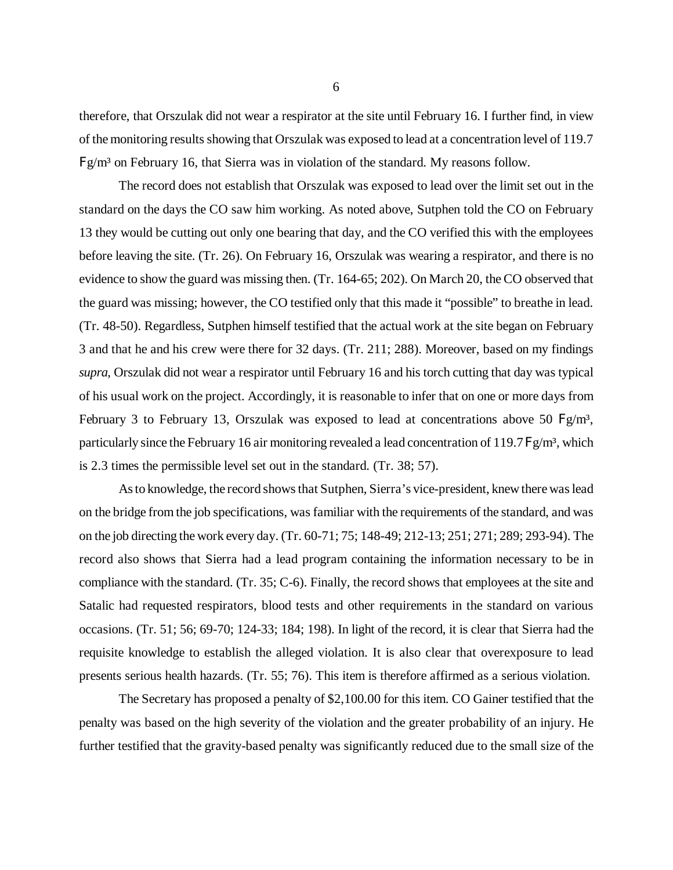therefore, that Orszulak did not wear a respirator at the site until February 16. I further find, in view of the monitoring results showing that Orszulak was exposed to lead at a concentration level of 119.7  $Fg/m<sup>3</sup>$  on February 16, that Sierra was in violation of the standard. My reasons follow.

The record does not establish that Orszulak was exposed to lead over the limit set out in the standard on the days the CO saw him working. As noted above, Sutphen told the CO on February 13 they would be cutting out only one bearing that day, and the CO verified this with the employees before leaving the site. (Tr. 26). On February 16, Orszulak was wearing a respirator, and there is no evidence to show the guard was missing then. (Tr. 164-65; 202). On March 20, the CO observed that the guard was missing; however, the CO testified only that this made it "possible" to breathe in lead. (Tr. 48-50). Regardless, Sutphen himself testified that the actual work at the site began on February 3 and that he and his crew were there for 32 days. (Tr. 211; 288). Moreover, based on my findings *supra*, Orszulak did not wear a respirator until February 16 and his torch cutting that day was typical of his usual work on the project. Accordingly, it is reasonable to infer that on one or more days from February 3 to February 13, Orszulak was exposed to lead at concentrations above 50  $Fg/m<sup>3</sup>$ , particularly since the February 16 air monitoring revealed a lead concentration of 119.7 F  $g/m<sup>3</sup>$ , which is 2.3 times the permissible level set out in the standard. (Tr. 38; 57).

As to knowledge, the record shows that Sutphen, Sierra's vice-president, knew there was lead on the bridge from the job specifications, was familiar with the requirements of the standard, and was on the job directing the work every day. (Tr. 60-71; 75; 148-49; 212-13; 251; 271; 289; 293-94). The record also shows that Sierra had a lead program containing the information necessary to be in compliance with the standard. (Tr. 35; C-6). Finally, the record shows that employees at the site and Satalic had requested respirators, blood tests and other requirements in the standard on various occasions. (Tr. 51; 56; 69-70; 124-33; 184; 198). In light of the record, it is clear that Sierra had the requisite knowledge to establish the alleged violation. It is also clear that overexposure to lead presents serious health hazards. (Tr. 55; 76). This item is therefore affirmed as a serious violation.

The Secretary has proposed a penalty of \$2,100.00 for this item. CO Gainer testified that the penalty was based on the high severity of the violation and the greater probability of an injury. He further testified that the gravity-based penalty was significantly reduced due to the small size of the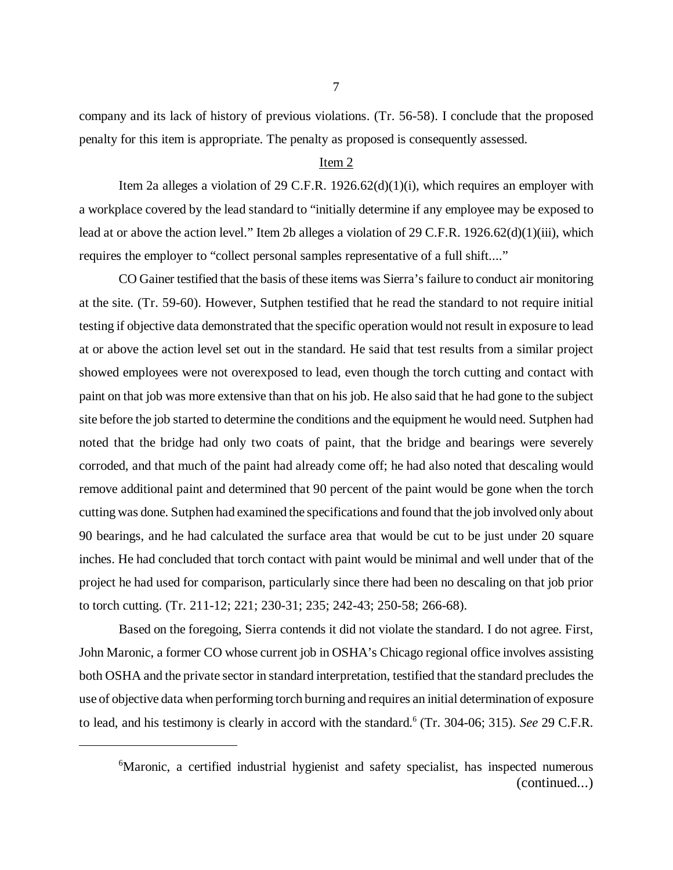company and its lack of history of previous violations. (Tr. 56-58). I conclude that the proposed penalty for this item is appropriate. The penalty as proposed is consequently assessed.

## Item 2

Item 2a alleges a violation of 29 C.F.R. 1926.62(d)(1)(i), which requires an employer with a workplace covered by the lead standard to "initially determine if any employee may be exposed to lead at or above the action level." Item 2b alleges a violation of 29 C.F.R. 1926.62(d)(1)(iii), which requires the employer to "collect personal samples representative of a full shift...."

CO Gainer testified that the basis of these items was Sierra's failure to conduct air monitoring at the site. (Tr. 59-60). However, Sutphen testified that he read the standard to not require initial testing if objective data demonstrated that the specific operation would not result in exposure to lead at or above the action level set out in the standard. He said that test results from a similar project showed employees were not overexposed to lead, even though the torch cutting and contact with paint on that job was more extensive than that on his job. He also said that he had gone to the subject site before the job started to determine the conditions and the equipment he would need. Sutphen had noted that the bridge had only two coats of paint, that the bridge and bearings were severely corroded, and that much of the paint had already come off; he had also noted that descaling would remove additional paint and determined that 90 percent of the paint would be gone when the torch cutting was done. Sutphen had examined the specifications and found that the job involved only about 90 bearings, and he had calculated the surface area that would be cut to be just under 20 square inches. He had concluded that torch contact with paint would be minimal and well under that of the project he had used for comparison, particularly since there had been no descaling on that job prior to torch cutting. (Tr. 211-12; 221; 230-31; 235; 242-43; 250-58; 266-68).

Based on the foregoing, Sierra contends it did not violate the standard. I do not agree. First, John Maronic, a former CO whose current job in OSHA's Chicago regional office involves assisting both OSHA and the private sector in standard interpretation, testified that the standard precludes the use of objective data when performing torch burning and requires an initial determination of exposure to lead, and his testimony is clearly in accord with the standard.<sup>6</sup> (Tr. 304-06; 315). *See* 29 C.F.R.

<sup>&</sup>lt;sup>6</sup>Maronic, a certified industrial hygienist and safety specialist, has inspected numerous (continued...)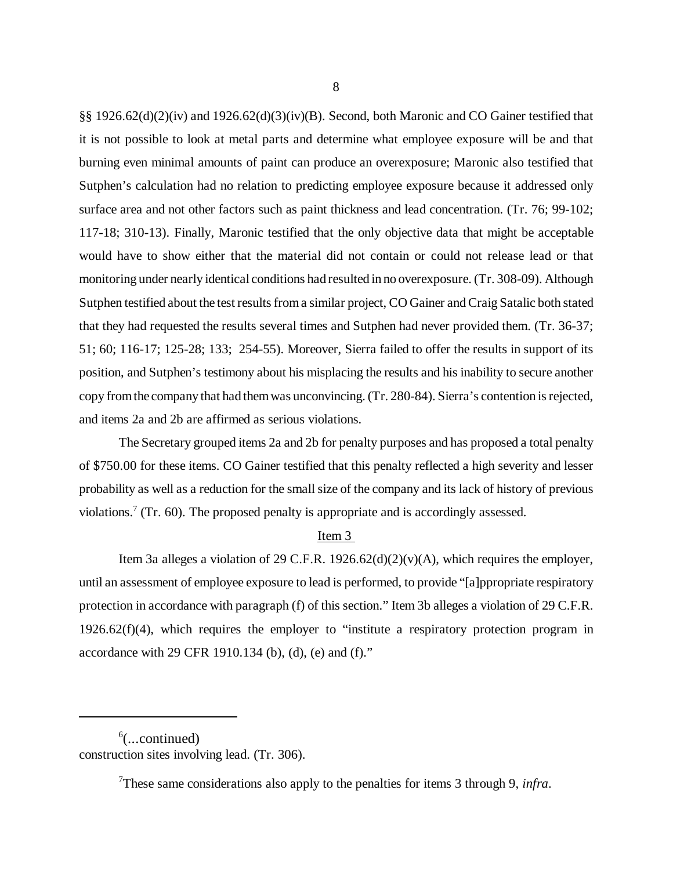§§ 1926.62(d)(2)(iv) and 1926.62(d)(3)(iv)(B). Second, both Maronic and CO Gainer testified that it is not possible to look at metal parts and determine what employee exposure will be and that burning even minimal amounts of paint can produce an overexposure; Maronic also testified that Sutphen's calculation had no relation to predicting employee exposure because it addressed only surface area and not other factors such as paint thickness and lead concentration. (Tr. 76; 99-102; 117-18; 310-13). Finally, Maronic testified that the only objective data that might be acceptable would have to show either that the material did not contain or could not release lead or that monitoring under nearly identical conditions had resulted in no overexposure. (Tr. 308-09). Although Sutphen testified about the test results from a similar project, CO Gainer and Craig Satalic both stated that they had requested the results several times and Sutphen had never provided them. (Tr. 36-37; 51; 60; 116-17; 125-28; 133; 254-55). Moreover, Sierra failed to offer the results in support of its position, and Sutphen's testimony about his misplacing the results and his inability to secure another copy from the company that had them was unconvincing. (Tr. 280-84). Sierra's contention is rejected, and items 2a and 2b are affirmed as serious violations.

The Secretary grouped items 2a and 2b for penalty purposes and has proposed a total penalty of \$750.00 for these items. CO Gainer testified that this penalty reflected a high severity and lesser probability as well as a reduction for the small size of the company and its lack of history of previous violations.<sup>7</sup> (Tr. 60). The proposed penalty is appropriate and is accordingly assessed.

## Item 3

Item 3a alleges a violation of 29 C.F.R. 1926.62(d)(2)(v)(A), which requires the employer, until an assessment of employee exposure to lead is performed, to provide "[a]ppropriate respiratory protection in accordance with paragraph (f) of this section." Item 3b alleges a violation of 29 C.F.R.  $1926.62(f)(4)$ , which requires the employer to "institute a respiratory protection program in accordance with 29 CFR 1910.134 (b), (d), (e) and (f)."

 $6$ (...continued) construction sites involving lead. (Tr. 306).

<sup>7</sup>These same considerations also apply to the penalties for items 3 through 9, *infra*.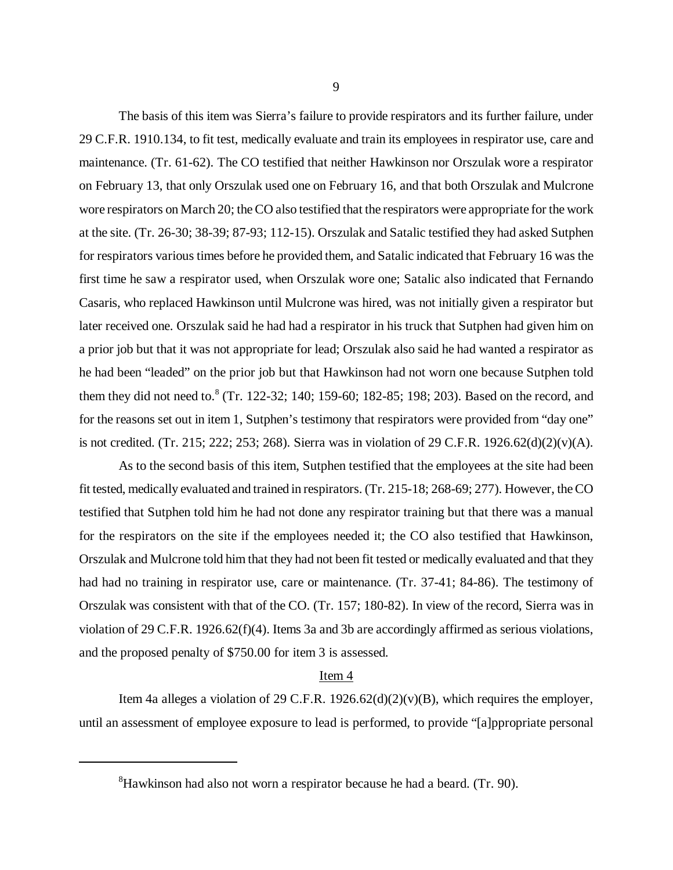The basis of this item was Sierra's failure to provide respirators and its further failure, under 29 C.F.R. 1910.134, to fit test, medically evaluate and train its employees in respirator use, care and maintenance. (Tr. 61-62). The CO testified that neither Hawkinson nor Orszulak wore a respirator on February 13, that only Orszulak used one on February 16, and that both Orszulak and Mulcrone wore respirators on March 20; the CO also testified that the respirators were appropriate for the work at the site. (Tr. 26-30; 38-39; 87-93; 112-15). Orszulak and Satalic testified they had asked Sutphen for respirators various times before he provided them, and Satalic indicated that February 16 was the first time he saw a respirator used, when Orszulak wore one; Satalic also indicated that Fernando Casaris, who replaced Hawkinson until Mulcrone was hired, was not initially given a respirator but later received one. Orszulak said he had had a respirator in his truck that Sutphen had given him on a prior job but that it was not appropriate for lead; Orszulak also said he had wanted a respirator as he had been "leaded" on the prior job but that Hawkinson had not worn one because Sutphen told them they did not need to.<sup>8</sup> (Tr. 122-32; 140; 159-60; 182-85; 198; 203). Based on the record, and for the reasons set out in item 1, Sutphen's testimony that respirators were provided from "day one" is not credited. (Tr. 215; 222; 253; 268). Sierra was in violation of 29 C.F.R. 1926.62(d)(2)(v)(A).

As to the second basis of this item, Sutphen testified that the employees at the site had been fit tested, medically evaluated and trained in respirators. (Tr. 215-18; 268-69; 277). However, the CO testified that Sutphen told him he had not done any respirator training but that there was a manual for the respirators on the site if the employees needed it; the CO also testified that Hawkinson, Orszulak and Mulcrone told him that they had not been fit tested or medically evaluated and that they had had no training in respirator use, care or maintenance. (Tr. 37-41; 84-86). The testimony of Orszulak was consistent with that of the CO. (Tr. 157; 180-82). In view of the record, Sierra was in violation of 29 C.F.R. 1926.62(f)(4). Items 3a and 3b are accordingly affirmed as serious violations, and the proposed penalty of \$750.00 for item 3 is assessed.

## Item 4

Item 4a alleges a violation of 29 C.F.R. 1926.62(d)(2)(v)(B), which requires the employer, until an assessment of employee exposure to lead is performed, to provide "[a]ppropriate personal

 ${}^{8}$ Hawkinson had also not worn a respirator because he had a beard. (Tr. 90).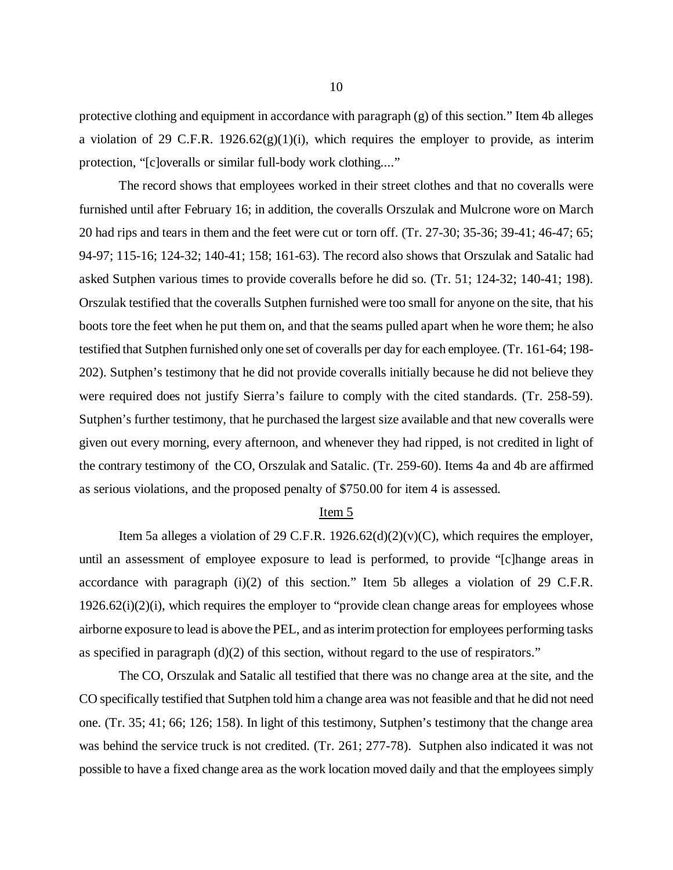protective clothing and equipment in accordance with paragraph  $(g)$  of this section." Item 4b alleges a violation of 29 C.F.R.  $1926.62(g)(1)(i)$ , which requires the employer to provide, as interim protection, "[c]overalls or similar full-body work clothing...."

The record shows that employees worked in their street clothes and that no coveralls were furnished until after February 16; in addition, the coveralls Orszulak and Mulcrone wore on March 20 had rips and tears in them and the feet were cut or torn off. (Tr. 27-30; 35-36; 39-41; 46-47; 65; 94-97; 115-16; 124-32; 140-41; 158; 161-63). The record also shows that Orszulak and Satalic had asked Sutphen various times to provide coveralls before he did so. (Tr. 51; 124-32; 140-41; 198). Orszulak testified that the coveralls Sutphen furnished were too small for anyone on the site, that his boots tore the feet when he put them on, and that the seams pulled apart when he wore them; he also testified that Sutphen furnished only one set of coveralls per day for each employee. (Tr. 161-64; 198- 202). Sutphen's testimony that he did not provide coveralls initially because he did not believe they were required does not justify Sierra's failure to comply with the cited standards. (Tr. 258-59). Sutphen's further testimony, that he purchased the largest size available and that new coveralls were given out every morning, every afternoon, and whenever they had ripped, is not credited in light of the contrary testimony of the CO, Orszulak and Satalic. (Tr. 259-60). Items 4a and 4b are affirmed as serious violations, and the proposed penalty of \$750.00 for item 4 is assessed.

#### Item 5

Item 5a alleges a violation of 29 C.F.R. 1926.62(d)(2)(v)(C), which requires the employer, until an assessment of employee exposure to lead is performed, to provide "[c]hange areas in accordance with paragraph (i)(2) of this section." Item 5b alleges a violation of 29 C.F.R.  $1926.62(i)(2)(i)$ , which requires the employer to "provide clean change areas for employees whose airborne exposure to lead is above the PEL, and as interim protection for employees performing tasks as specified in paragraph (d)(2) of this section, without regard to the use of respirators."

The CO, Orszulak and Satalic all testified that there was no change area at the site, and the CO specifically testified that Sutphen told him a change area was not feasible and that he did not need one. (Tr. 35; 41; 66; 126; 158). In light of this testimony, Sutphen's testimony that the change area was behind the service truck is not credited. (Tr. 261; 277-78). Sutphen also indicated it was not possible to have a fixed change area as the work location moved daily and that the employees simply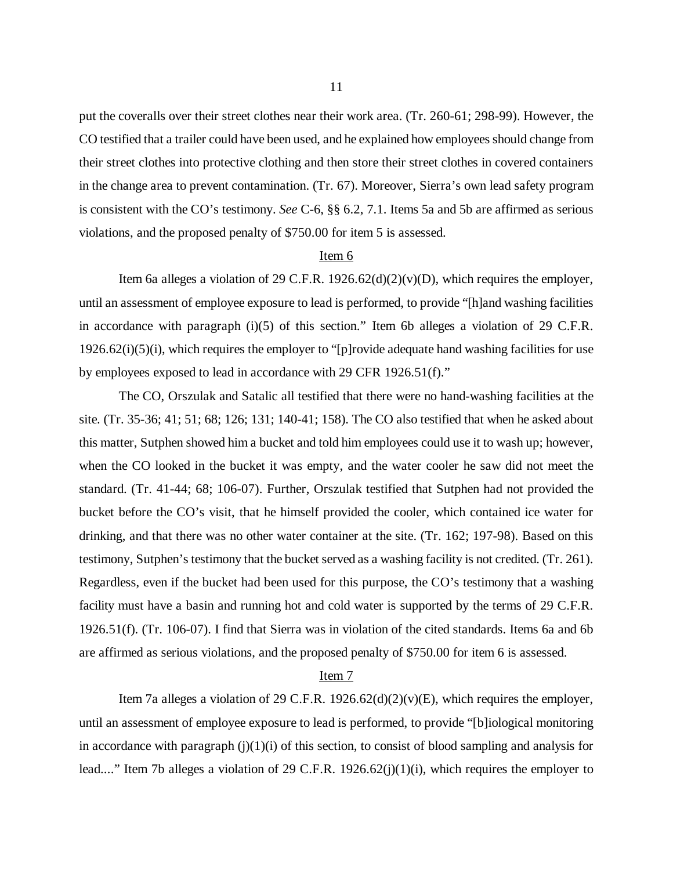put the coveralls over their street clothes near their work area. (Tr. 260-61; 298-99). However, the CO testified that a trailer could have been used, and he explained how employees should change from their street clothes into protective clothing and then store their street clothes in covered containers in the change area to prevent contamination. (Tr. 67). Moreover, Sierra's own lead safety program is consistent with the CO's testimony. *See* C-6, §§ 6.2, 7.1. Items 5a and 5b are affirmed as serious violations, and the proposed penalty of \$750.00 for item 5 is assessed.

#### Item 6

Item 6a alleges a violation of 29 C.F.R. 1926.62(d)(2)(v)(D), which requires the employer, until an assessment of employee exposure to lead is performed, to provide "[h]and washing facilities in accordance with paragraph (i)(5) of this section." Item 6b alleges a violation of 29 C.F.R. 1926.62(i)(5)(i), which requires the employer to "[p]rovide adequate hand washing facilities for use by employees exposed to lead in accordance with 29 CFR 1926.51(f)."

The CO, Orszulak and Satalic all testified that there were no hand-washing facilities at the site. (Tr. 35-36; 41; 51; 68; 126; 131; 140-41; 158). The CO also testified that when he asked about this matter, Sutphen showed him a bucket and told him employees could use it to wash up; however, when the CO looked in the bucket it was empty, and the water cooler he saw did not meet the standard. (Tr. 41-44; 68; 106-07). Further, Orszulak testified that Sutphen had not provided the bucket before the CO's visit, that he himself provided the cooler, which contained ice water for drinking, and that there was no other water container at the site. (Tr. 162; 197-98). Based on this testimony, Sutphen's testimony that the bucket served as a washing facility is not credited. (Tr. 261). Regardless, even if the bucket had been used for this purpose, the CO's testimony that a washing facility must have a basin and running hot and cold water is supported by the terms of 29 C.F.R. 1926.51(f). (Tr. 106-07). I find that Sierra was in violation of the cited standards. Items 6a and 6b are affirmed as serious violations, and the proposed penalty of \$750.00 for item 6 is assessed.

## Item 7

Item 7a alleges a violation of 29 C.F.R. 1926.62(d)(2)(v)(E), which requires the employer, until an assessment of employee exposure to lead is performed, to provide "[b]iological monitoring in accordance with paragraph  $(j)(1)(i)$  of this section, to consist of blood sampling and analysis for lead...." Item 7b alleges a violation of 29 C.F.R. 1926.62(j)(1)(i), which requires the employer to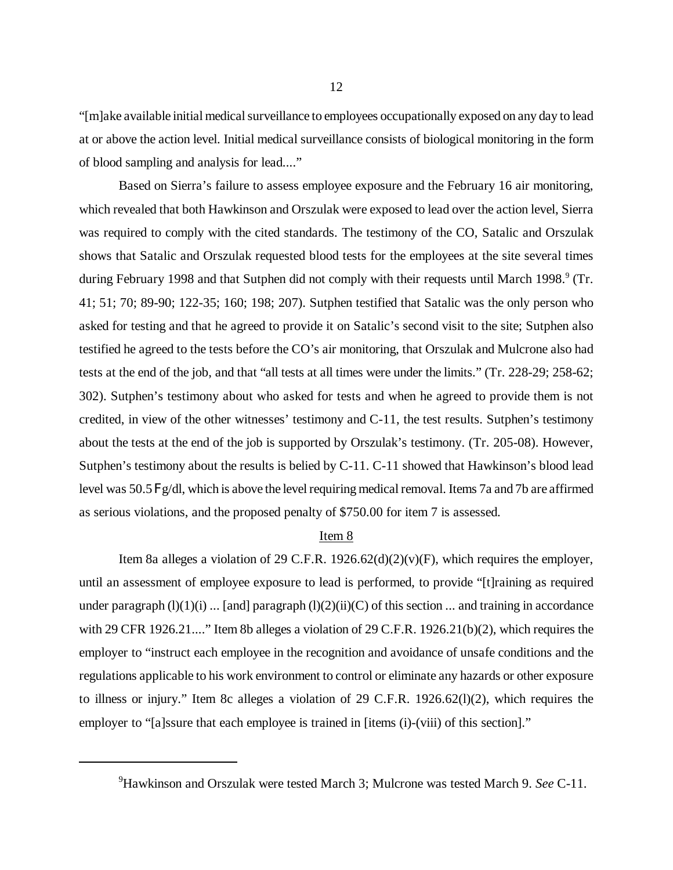"[m]ake available initial medical surveillance to employees occupationally exposed on any day to lead at or above the action level. Initial medical surveillance consists of biological monitoring in the form of blood sampling and analysis for lead...."

Based on Sierra's failure to assess employee exposure and the February 16 air monitoring, which revealed that both Hawkinson and Orszulak were exposed to lead over the action level, Sierra was required to comply with the cited standards. The testimony of the CO, Satalic and Orszulak shows that Satalic and Orszulak requested blood tests for the employees at the site several times during February 1998 and that Sutphen did not comply with their requests until March 1998.<sup>9</sup> (Tr. 41; 51; 70; 89-90; 122-35; 160; 198; 207). Sutphen testified that Satalic was the only person who asked for testing and that he agreed to provide it on Satalic's second visit to the site; Sutphen also testified he agreed to the tests before the CO's air monitoring, that Orszulak and Mulcrone also had tests at the end of the job, and that "all tests at all times were under the limits." (Tr. 228-29; 258-62; 302). Sutphen's testimony about who asked for tests and when he agreed to provide them is not credited, in view of the other witnesses' testimony and C-11, the test results. Sutphen's testimony about the tests at the end of the job is supported by Orszulak's testimony. (Tr. 205-08). However, Sutphen's testimony about the results is belied by C-11. C-11 showed that Hawkinson's blood lead level was 50.5 Fg/dl, which is above the level requiring medical removal. Items 7a and 7b are affirmed as serious violations, and the proposed penalty of \$750.00 for item 7 is assessed.

### Item 8

Item 8a alleges a violation of 29 C.F.R.  $1926.62(d)(2)(v)(F)$ , which requires the employer, until an assessment of employee exposure to lead is performed, to provide "[t]raining as required under paragraph  $(l)(1)(i)$  ... [and] paragraph  $(l)(2)(ii)(C)$  of this section ... and training in accordance with 29 CFR 1926.21...." Item 8b alleges a violation of 29 C.F.R. 1926.21(b)(2), which requires the employer to "instruct each employee in the recognition and avoidance of unsafe conditions and the regulations applicable to his work environment to control or eliminate any hazards or other exposure to illness or injury." Item 8c alleges a violation of 29 C.F.R. 1926.62(l)(2), which requires the employer to "[a]ssure that each employee is trained in [items (i)-(viii) of this section]."

<sup>9</sup>Hawkinson and Orszulak were tested March 3; Mulcrone was tested March 9. *See* C-11.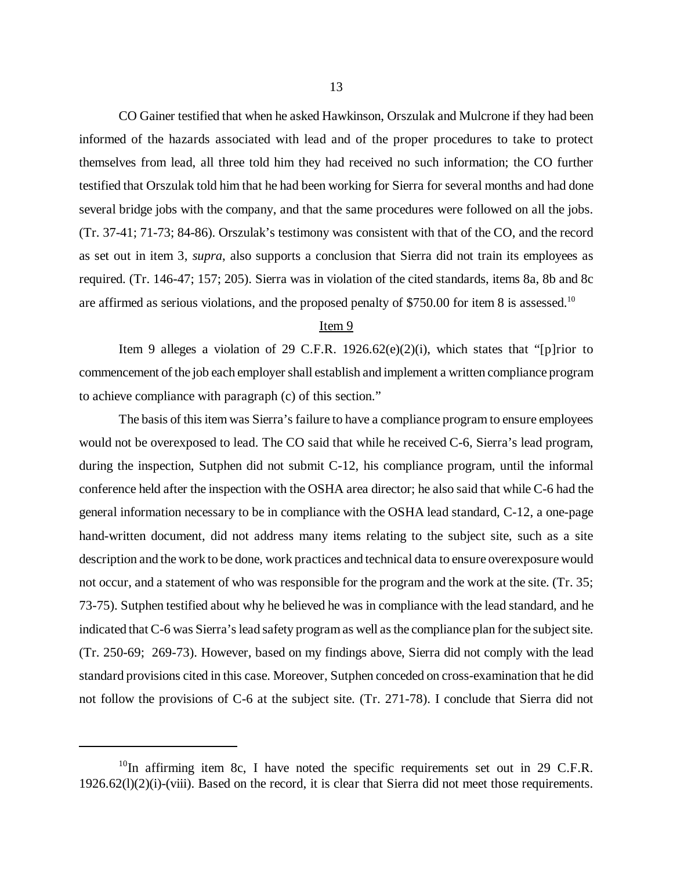CO Gainer testified that when he asked Hawkinson, Orszulak and Mulcrone if they had been informed of the hazards associated with lead and of the proper procedures to take to protect themselves from lead, all three told him they had received no such information; the CO further testified that Orszulak told him that he had been working for Sierra for several months and had done several bridge jobs with the company, and that the same procedures were followed on all the jobs. (Tr. 37-41; 71-73; 84-86). Orszulak's testimony was consistent with that of the CO, and the record as set out in item 3, *supra*, also supports a conclusion that Sierra did not train its employees as required. (Tr. 146-47; 157; 205). Sierra was in violation of the cited standards, items 8a, 8b and 8c are affirmed as serious violations, and the proposed penalty of \$750.00 for item 8 is assessed.<sup>10</sup>

### Item 9

Item 9 alleges a violation of 29 C.F.R. 1926.62 $(e)(2)(i)$ , which states that "[p]rior to commencement of the job each employer shall establish and implement a written compliance program to achieve compliance with paragraph (c) of this section."

The basis of this item was Sierra's failure to have a compliance program to ensure employees would not be overexposed to lead. The CO said that while he received C-6, Sierra's lead program, during the inspection, Sutphen did not submit C-12, his compliance program, until the informal conference held after the inspection with the OSHA area director; he also said that while C-6 had the general information necessary to be in compliance with the OSHA lead standard, C-12, a one-page hand-written document, did not address many items relating to the subject site, such as a site description and the work to be done, work practices and technical data to ensure overexposure would not occur, and a statement of who was responsible for the program and the work at the site. (Tr. 35; 73-75). Sutphen testified about why he believed he was in compliance with the lead standard, and he indicated that C-6 was Sierra's lead safety program as well as the compliance plan for the subject site. (Tr. 250-69; 269-73). However, based on my findings above, Sierra did not comply with the lead standard provisions cited in this case. Moreover, Sutphen conceded on cross-examination that he did not follow the provisions of C-6 at the subject site. (Tr. 271-78). I conclude that Sierra did not

 $^{10}$ In affirming item 8c, I have noted the specific requirements set out in 29 C.F.R. 1926.62(l)(2)(i)-(viii). Based on the record, it is clear that Sierra did not meet those requirements.